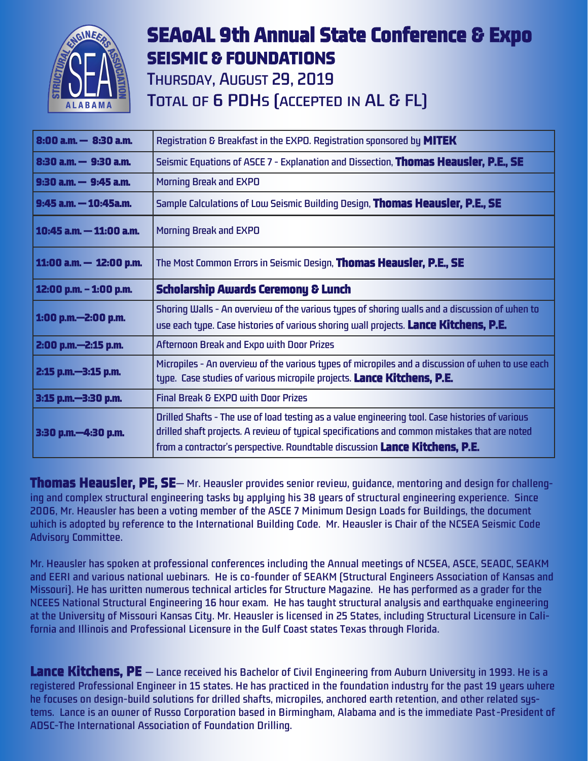

## **SEAoAL 9th Annual State Conference & Expo SEISMIC & FOUNDATIONS**

**THURSDAY, AUGUST 29, 2019** TOTAL OF 6 PDHS (ACCEPTED IN AL & FL)

| $8:00$ a.m. $-8:30$ a.m.   | Registration & Breakfast in the EXPO. Registration sponsored by MITEK                                                                                                                                                                                                           |  |  |  |  |
|----------------------------|---------------------------------------------------------------------------------------------------------------------------------------------------------------------------------------------------------------------------------------------------------------------------------|--|--|--|--|
| $8:30$ a.m. $-9:30$ a.m.   | Seismic Equations of ASCE 7 - Explanation and Dissection, Thomas Heausler, P.E., SE                                                                                                                                                                                             |  |  |  |  |
| $9:30$ a.m. $-9:45$ a.m.   | <b>Morning Break and EXPO</b>                                                                                                                                                                                                                                                   |  |  |  |  |
| $9:45$ a.m. $-10:45$ a.m.  | Sample Calculations of Low Seismic Building Design, Thomas Heausler, P.E., SE                                                                                                                                                                                                   |  |  |  |  |
| $10:45$ a.m. $-11:00$ a.m. | <b>Morning Break and EXPO</b>                                                                                                                                                                                                                                                   |  |  |  |  |
| 11:00 a.m. $-$ 12:00 p.m.  | The Most Common Errors in Seismic Design, <b>Thomas Heausler, P.E., SE</b>                                                                                                                                                                                                      |  |  |  |  |
| 12:00 p.m. - 1:00 p.m.     | <b>Scholarship Awards Ceremony &amp; Lunch</b>                                                                                                                                                                                                                                  |  |  |  |  |
| 1:00 p.m.-2:00 p.m.        | Shoring Walls - An overview of the various types of shoring walls and a discussion of when to<br>use each type. Case histories of various shoring wall projects. Lance Kitchens, P.E.                                                                                           |  |  |  |  |
| 2:00 p.m.-2:15 p.m.        | Afternoon Break and Expo with Door Prizes                                                                                                                                                                                                                                       |  |  |  |  |
| 2:15 p.m.-3:15 p.m.        | Micropiles - An overview of the various types of micropiles and a discussion of when to use each<br>type. Case studies of various micropile projects. Lance Kitchens, P.E.                                                                                                      |  |  |  |  |
| 3:15 p.m.-3:30 p.m.        | <b>Final Break &amp; EXPO with Door Prizes</b>                                                                                                                                                                                                                                  |  |  |  |  |
| 3:30 p.m.-4:30 p.m.        | Drilled Shafts - The use of load testing as a value engineering tool. Case histories of various<br>drilled shaft projects. A review of typical specifications and common mistakes that are noted<br>from a contractor's perspective. Roundtable discussion Lance Kitchens, P.E. |  |  |  |  |

**Thomas Heausler, PE, SE— Mr. Heausler provides senior review, guidance, mentoring and design for challenging and complex structural engineering tasks by applying his 38 years of structural engineering experience. Since 2006, Mr. Heausler has been a voting member of the ASCE 7 Minimum Design Loads for Buildings, the document which is adopted by reference to the International Building Code. Mr. Heausler is Chair of the NCSEA Seismic Code Advisory Committee.**

**Mr. Heausler has spoken at professional conferences including the Annual meetings of NCSEA, ASCE, SEAOC, SEAKM and EERI and various national webinars. He is co-founder of SEAKM (Structural Engineers Association of Kansas and Missouri). He has written numerous technical articles for Structure Magazine. He has performed as a grader for the NCEES National Structural Engineering 16 hour exam. He has taught structural analysis and earthquake engineering at the University of Missouri Kansas City. Mr. Heausler is licensed in 25 States, including Structural Licensure in California and Illinois and Professional Licensure in the Gulf Coast states Texas through Florida.**

**Lance Kitchens, PE — Lance received his Bachelor of Civil Engineering from Auburn University in 1993. He is a registered Professional Engineer in 15 states. He has practiced in the foundation industry for the past 19 years where he focuses on design-build solutions for drilled shafts, micropiles, anchored earth retention, and other related systems. Lance is an owner of Russo Corporation based in Birmingham, Alabama and is the immediate Past-President of ADSC-The International Association of Foundation Drilling.**